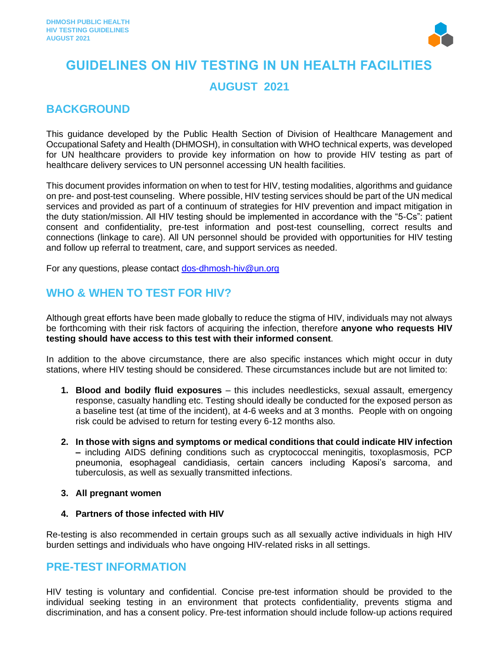

# **GUIDELINES ON HIV TESTING IN UN HEALTH FACILITIES AUGUST 2021**

### **BACKGROUND**

This guidance developed by the Public Health Section of Division of Healthcare Management and Occupational Safety and Health (DHMOSH), in consultation with WHO technical experts, was developed for UN healthcare providers to provide key information on how to provide HIV testing as part of healthcare delivery services to UN personnel accessing UN health facilities.

This document provides information on when to test for HIV, testing modalities, algorithms and guidance on pre- and post-test counseling. Where possible, HIV testing services should be part of the UN medical services and provided as part of a continuum of strategies for HIV prevention and impact mitigation in the duty station/mission. All HIV testing should be implemented in accordance with the "5-Cs": patient consent and confidentiality, pre-test information and post-test counselling, correct results and connections (linkage to care). All UN personnel should be provided with opportunities for HIV testing and follow up referral to treatment, care, and support services as needed.

For any questions, please contact [dos-dhmosh-hiv@un.org](mailto:dos-dhmosh-hiv@un.org)

## **WHO & WHEN TO TEST FOR HIV?**

Although great efforts have been made globally to reduce the stigma of HIV, individuals may not always be forthcoming with their risk factors of acquiring the infection, therefore **anyone who requests HIV testing should have access to this test with their informed consent**.

In addition to the above circumstance, there are also specific instances which might occur in duty stations, where HIV testing should be considered. These circumstances include but are not limited to:

- **1. Blood and bodily fluid exposures** this includes needlesticks, sexual assault, emergency response, casualty handling etc. Testing should ideally be conducted for the exposed person as a baseline test (at time of the incident), at 4-6 weeks and at 3 months. People with on ongoing risk could be advised to return for testing every 6-12 months also.
- **2. In those with signs and symptoms or medical conditions that could indicate HIV infection –** including AIDS defining conditions such as cryptococcal meningitis, toxoplasmosis, PCP pneumonia, esophageal candidiasis, certain cancers including Kaposi's sarcoma, and tuberculosis, as well as sexually transmitted infections.

#### **3. All pregnant women**

#### **4. Partners of those infected with HIV**

Re-testing is also recommended in certain groups such as all sexually active individuals in high HIV burden settings and individuals who have ongoing HIV-related risks in all settings.

### **PRE-TEST INFORMATION**

HIV testing is voluntary and confidential. Concise pre-test information should be provided to the individual seeking testing in an environment that protects confidentiality, prevents stigma and discrimination, and has a consent policy. Pre-test information should include follow-up actions required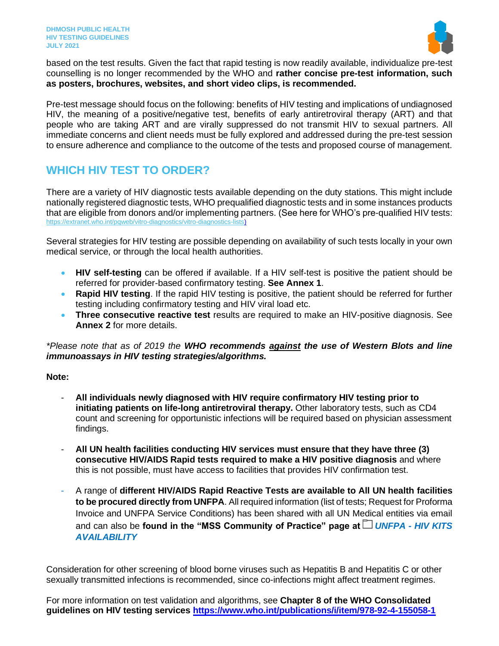

based on the test results. Given the fact that rapid testing is now readily available, individualize pre-test counselling is no longer recommended by the WHO and **rather concise pre-test information, such as posters, brochures, websites, and short video clips, is recommended.**

Pre-test message should focus on the following: benefits of HIV testing and implications of undiagnosed HIV, the meaning of a positive/negative test, benefits of early antiretroviral therapy (ART) and that people who are taking ART and are virally suppressed do not transmit HIV to sexual partners. All immediate concerns and client needs must be fully explored and addressed during the pre-test session to ensure adherence and compliance to the outcome of the tests and proposed course of management.

## **WHICH HIV TEST TO ORDER?**

There are a variety of HIV diagnostic tests available depending on the duty stations. This might include nationally registered diagnostic tests, WHO prequalified diagnostic tests and in some instances products that are eligible from donors and/or implementing partners. (See here for WHO's pre-qualified HIV tests: https://extranet.who.int/pqweb/vitro-diagnostics/vitro-diagnostics-lists)

Several strategies for HIV testing are possible depending on availability of such tests locally in your own medical service, or through the local health authorities.

- **HIV self-testing** can be offered if available. If a HIV self-test is positive the patient should be referred for provider-based confirmatory testing. **See Annex 1**.
- **Rapid HIV testing**. If the rapid HIV testing is positive, the patient should be referred for further testing including confirmatory testing and HIV viral load etc.
- **Three consecutive reactive test** results are required to make an HIV-positive diagnosis. See **Annex 2** for more details.

#### *\*Please note that as of 2019 the WHO recommends against the use of Western Blots and line immunoassays in HIV testing strategies/algorithms.*

#### **Note:**

- **All individuals newly diagnosed with HIV require confirmatory HIV testing prior to initiating patients on life-long antiretroviral therapy.** Other laboratory tests, such as CD4 count and screening for opportunistic infections will be required based on physician assessment findings.
- **All UN health facilities conducting HIV services must ensure that they have three (3) consecutive HIV/AIDS Rapid tests required to make a HIV positive diagnosis** and where this is not possible, must have access to facilities that provides HIV confirmation test.
- A range of **different HIV/AIDS Rapid Reactive Tests are available to All UN health facilities to be procured directly from UNFPA**. All required information (list of tests; Request for Proforma Invoice and UNFPA Service Conditions) has been shared with all UN Medical entities via email and can also be **found in the "MSS Community of Practice" page at** *UNFPA - [HIV KITS](https://unitednations.sharepoint.com/:f:/r/sites/DOS-COP-OSCM-SSS-MSS/MEDICAL%20%20DENTAL%20EQUIPMENT/MEDICAL%20EQUIPMENT%20ALERTS/UNFPA%20-%20HIV%20KITS%20AVAILABILITY?csf=1&web=1&e=ZLyY1d)  [AVAILABILITY](https://unitednations.sharepoint.com/:f:/r/sites/DOS-COP-OSCM-SSS-MSS/MEDICAL%20%20DENTAL%20EQUIPMENT/MEDICAL%20EQUIPMENT%20ALERTS/UNFPA%20-%20HIV%20KITS%20AVAILABILITY?csf=1&web=1&e=ZLyY1d)*

Consideration for other screening of blood borne viruses such as Hepatitis B and Hepatitis C or other sexually transmitted infections is recommended, since co-infections might affect treatment regimes.

For more information on test validation and algorithms, see **Chapter 8 of the WHO Consolidated guidelines on HIV testing services<https://www.who.int/publications/i/item/978-92-4-155058-1>**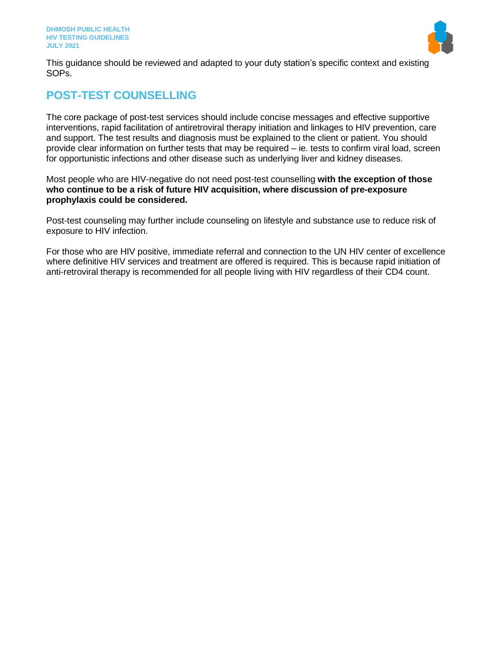

This guidance should be reviewed and adapted to your duty station's specific context and existing SOPs.

### **POST-TEST COUNSELLING**

The core package of post-test services should include concise messages and effective supportive interventions, rapid facilitation of antiretroviral therapy initiation and linkages to HIV prevention, care and support. The test results and diagnosis must be explained to the client or patient. You should provide clear information on further tests that may be required – ie. tests to confirm viral load, screen for opportunistic infections and other disease such as underlying liver and kidney diseases.

Most people who are HIV-negative do not need post-test counselling **with the exception of those who continue to be a risk of future HIV acquisition, where discussion of pre-exposure prophylaxis could be considered.**

Post-test counseling may further include counseling on lifestyle and substance use to reduce risk of exposure to HIV infection.

For those who are HIV positive, immediate referral and connection to the UN HIV center of excellence where definitive HIV services and treatment are offered is required. This is because rapid initiation of anti-retroviral therapy is recommended for all people living with HIV regardless of their CD4 count.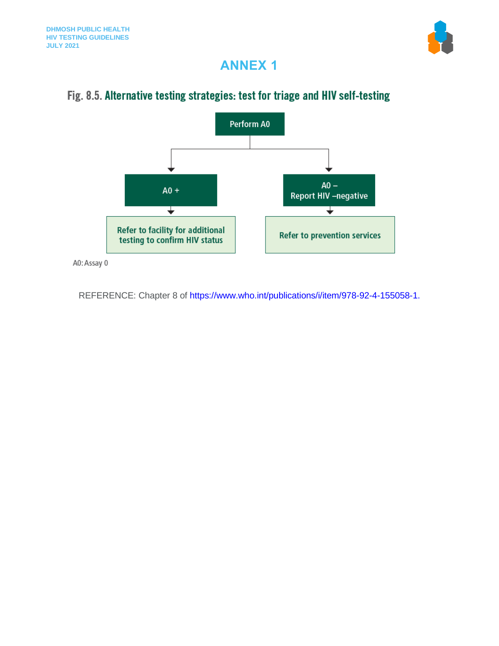

# **ANNEX 1**

## Fig. 8.5. Alternative testing strategies: test for triage and HIV self-testing



A0: Assay 0

REFERENCE: Chapter 8 of https://www.who.int/publications/i/item/978-92-4-155058-1.